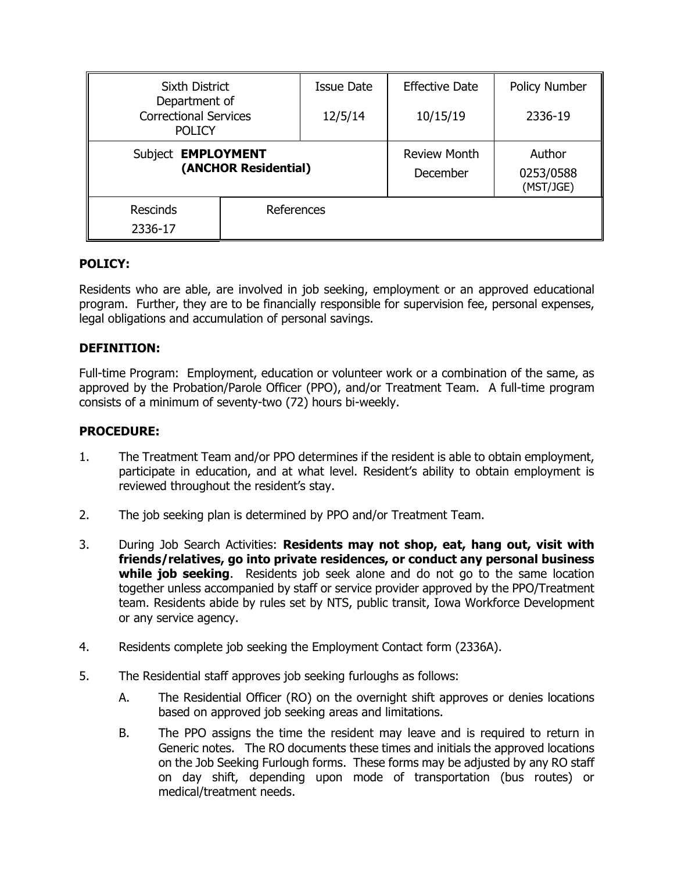| <b>Sixth District</b><br>Department of<br><b>Correctional Services</b><br><b>POLICY</b> |            | <b>Issue Date</b> | <b>Effective Date</b>           | Policy Number                    |
|-----------------------------------------------------------------------------------------|------------|-------------------|---------------------------------|----------------------------------|
|                                                                                         |            | 12/5/14           | 10/15/19                        | 2336-19                          |
| Subject EMPLOYMENT<br>(ANCHOR Residential)                                              |            |                   | <b>Review Month</b><br>December | Author<br>0253/0588<br>(MST/JGE) |
| <b>Rescinds</b><br>2336-17                                                              | References |                   |                                 |                                  |

# **POLICY:**

Residents who are able, are involved in job seeking, employment or an approved educational program. Further, they are to be financially responsible for supervision fee, personal expenses, legal obligations and accumulation of personal savings.

### **DEFINITION:**

Full-time Program: Employment, education or volunteer work or a combination of the same, as approved by the Probation/Parole Officer (PPO), and/or Treatment Team. A full-time program consists of a minimum of seventy-two (72) hours bi-weekly.

### **PROCEDURE:**

- 1. The Treatment Team and/or PPO determines if the resident is able to obtain employment, participate in education, and at what level. Resident's ability to obtain employment is reviewed throughout the resident's stay.
- 2. The job seeking plan is determined by PPO and/or Treatment Team.
- 3. During Job Search Activities: **Residents may not shop, eat, hang out, visit with friends/relatives, go into private residences, or conduct any personal business while job seeking**. Residents job seek alone and do not go to the same location together unless accompanied by staff or service provider approved by the PPO/Treatment team. Residents abide by rules set by NTS, public transit, Iowa Workforce Development or any service agency.
- 4. Residents complete job seeking the Employment Contact form (2336A).
- 5. The Residential staff approves job seeking furloughs as follows:
	- A. The Residential Officer (RO) on the overnight shift approves or denies locations based on approved job seeking areas and limitations.
	- B. The PPO assigns the time the resident may leave and is required to return in Generic notes. The RO documents these times and initials the approved locations on the Job Seeking Furlough forms. These forms may be adjusted by any RO staff on day shift, depending upon mode of transportation (bus routes) or medical/treatment needs.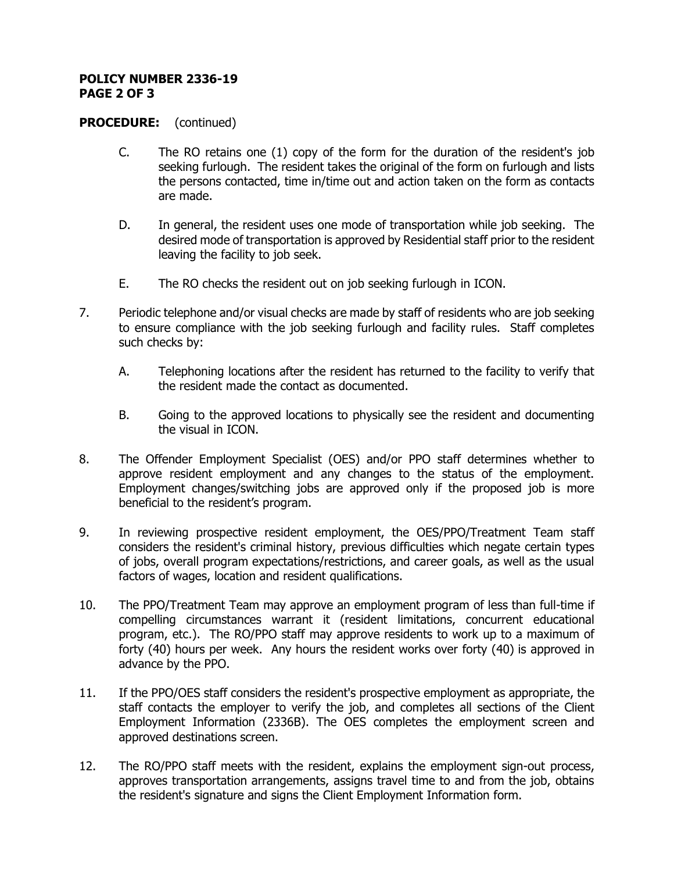# **POLICY NUMBER 2336-19 PAGE 2 OF 3**

#### **PROCEDURE:** (continued)

- C. The RO retains one (1) copy of the form for the duration of the resident's job seeking furlough. The resident takes the original of the form on furlough and lists the persons contacted, time in/time out and action taken on the form as contacts are made.
- D. In general, the resident uses one mode of transportation while job seeking. The desired mode of transportation is approved by Residential staff prior to the resident leaving the facility to job seek.
- E. The RO checks the resident out on job seeking furlough in ICON.
- 7. Periodic telephone and/or visual checks are made by staff of residents who are job seeking to ensure compliance with the job seeking furlough and facility rules. Staff completes such checks by:
	- A. Telephoning locations after the resident has returned to the facility to verify that the resident made the contact as documented.
	- B. Going to the approved locations to physically see the resident and documenting the visual in ICON.
- 8. The Offender Employment Specialist (OES) and/or PPO staff determines whether to approve resident employment and any changes to the status of the employment. Employment changes/switching jobs are approved only if the proposed job is more beneficial to the resident's program.
- 9. In reviewing prospective resident employment, the OES/PPO/Treatment Team staff considers the resident's criminal history, previous difficulties which negate certain types of jobs, overall program expectations/restrictions, and career goals, as well as the usual factors of wages, location and resident qualifications.
- 10. The PPO/Treatment Team may approve an employment program of less than full-time if compelling circumstances warrant it (resident limitations, concurrent educational program, etc.). The RO/PPO staff may approve residents to work up to a maximum of forty (40) hours per week. Any hours the resident works over forty (40) is approved in advance by the PPO.
- 11. If the PPO/OES staff considers the resident's prospective employment as appropriate, the staff contacts the employer to verify the job, and completes all sections of the Client Employment Information (2336B). The OES completes the employment screen and approved destinations screen.
- 12. The RO/PPO staff meets with the resident, explains the employment sign-out process, approves transportation arrangements, assigns travel time to and from the job, obtains the resident's signature and signs the Client Employment Information form.